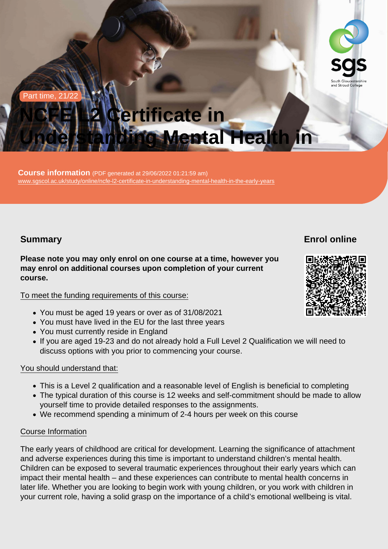#### Part time, 21/22

# NCFE L2 Certificate in Understanding Mental Health in

Course information (PDF generated at  $29/06/2022$  01:21:59 am) [www.sgscol.ac.uk/study/online/ncfe-l2-certificate-in-understanding-mental-health-in-the-early-years](https://www.sgscol.ac.uk/study/online/ncfe-l2-certificate-in-understanding-mental-health-in-the-early-years)

## Summary

Enrol online

Please note you may only enrol on one course at a time, however you may enrol on additional courses upon completion of your current course.

#### To meet the funding requirements of this course:

- You must be aged 19 years or over as of 31/08/2021
- You must have lived in the EU for the last three years
- You must currently reside in England
- If you are aged 19-23 and do not already hold a Full Level 2 Qualification we will need to discuss options with you prior to commencing your course.

#### You should understand that:

- This is a Level 2 qualification and a reasonable level of English is beneficial to completing
- The typical duration of this course is 12 weeks and self-commitment should be made to allow yourself time to provide detailed responses to the assignments.
- We recommend spending a minimum of 2-4 hours per week on this course

#### Course Information

The early years of childhood are critical for development. Learning the significance of attachment and adverse experiences during this time is important to understand children's mental health. Children can be exposed to several traumatic experiences throughout their early years which can impact their mental health – and these experiences can contribute to mental health concerns in later life. Whether you are looking to begin work with young children, or you work with children in your current role, having a solid grasp on the importance of a child's emotional wellbeing is vital.